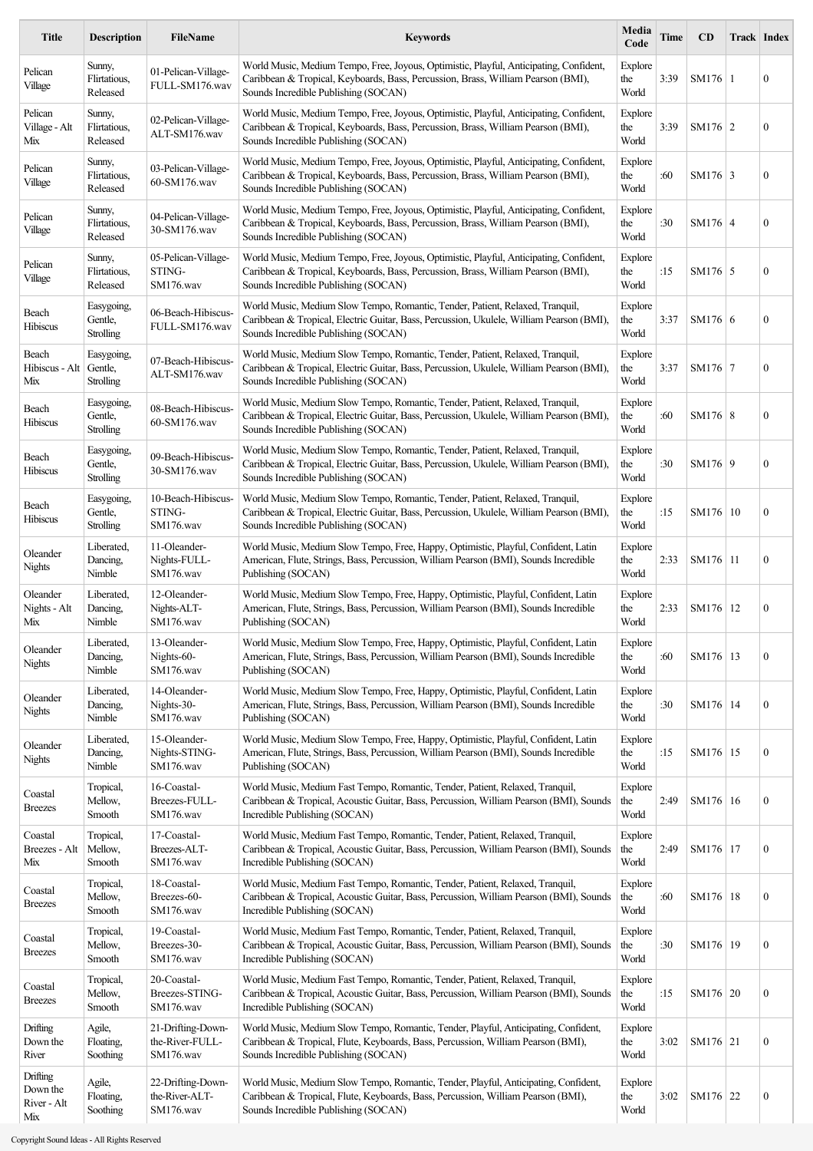| <b>Title</b>                               | <b>Description</b>                        | <b>FileName</b>                                   | <b>Keywords</b>                                                                                                                                                                                                    | Media<br>Code           | <b>Time</b> | CD              | Track   Index    |
|--------------------------------------------|-------------------------------------------|---------------------------------------------------|--------------------------------------------------------------------------------------------------------------------------------------------------------------------------------------------------------------------|-------------------------|-------------|-----------------|------------------|
| Pelican<br>Village                         | Sunny,<br>Flirtatious,<br>Released        | 01-Pelican-Village-<br>FULL-SM176.wav             | World Music, Medium Tempo, Free, Joyous, Optimistic, Playful, Anticipating, Confident,<br>Caribbean & Tropical, Keyboards, Bass, Percussion, Brass, William Pearson (BMI),<br>Sounds Incredible Publishing (SOCAN) | Explore<br>the<br>World | 3:39        | SM176 1         | $\boldsymbol{0}$ |
| Pelican<br>Village - Alt<br>Mix            | Sunny,<br>Flirtatious,<br>Released        | 02-Pelican-Village-<br>ALT-SM176.wav              | World Music, Medium Tempo, Free, Joyous, Optimistic, Playful, Anticipating, Confident,<br>Caribbean & Tropical, Keyboards, Bass, Percussion, Brass, William Pearson (BMI),<br>Sounds Incredible Publishing (SOCAN) | Explore<br>the<br>World | 3:39        | $SM176$ 2       | $\boldsymbol{0}$ |
| Pelican<br>Village                         | Sunny,<br>Flirtatious.<br>Released        | 03-Pelican-Village-<br>60-SM176.wav               | World Music, Medium Tempo, Free, Joyous, Optimistic, Playful, Anticipating, Confident,<br>Caribbean & Tropical, Keyboards, Bass, Percussion, Brass, William Pearson (BMI),<br>Sounds Incredible Publishing (SOCAN) | Explore<br>the<br>World | :60         | SM176 $\vert$ 3 | $\boldsymbol{0}$ |
| Pelican<br>Village                         | Sunny,<br>Flirtatious,<br>Released        | 04-Pelican-Village-<br>30-SM176.wav               | World Music, Medium Tempo, Free, Joyous, Optimistic, Playful, Anticipating, Confident,<br>Caribbean & Tropical, Keyboards, Bass, Percussion, Brass, William Pearson (BMI),<br>Sounds Incredible Publishing (SOCAN) | Explore<br>the<br>World | :30         | SM176 4         | $\boldsymbol{0}$ |
| Pelican<br>Village                         | Sunny,<br>Flirtatious,<br>Released        | 05-Pelican-Village-<br>STING-<br>SM176.wav        | World Music, Medium Tempo, Free, Joyous, Optimistic, Playful, Anticipating, Confident,<br>Caribbean & Tropical, Keyboards, Bass, Percussion, Brass, William Pearson (BMI),<br>Sounds Incredible Publishing (SOCAN) | Explore<br>the<br>World | :15         | $SM176$ 5       | $\boldsymbol{0}$ |
| Beach<br>Hibiscus                          | Easygoing,<br>Gentle,<br>Strolling        | 06-Beach-Hibiscus-<br>FULL-SM176.wav              | World Music, Medium Slow Tempo, Romantic, Tender, Patient, Relaxed, Tranquil,<br>Caribbean & Tropical, Electric Guitar, Bass, Percussion, Ukulele, William Pearson (BMI),<br>Sounds Incredible Publishing (SOCAN)  | Explore<br>the<br>World | 3:37        | SM176 $\vert$ 6 | $\boldsymbol{0}$ |
| Beach<br>Hibiscus - Alt<br>Mix             | Easygoing,<br>Gentle,<br>Strolling        | 07-Beach-Hibiscus-<br>ALT-SM176.wav               | World Music, Medium Slow Tempo, Romantic, Tender, Patient, Relaxed, Tranquil,<br>Caribbean & Tropical, Electric Guitar, Bass, Percussion, Ukulele, William Pearson (BMI),<br>Sounds Incredible Publishing (SOCAN)  | Explore<br>the<br>World | 3:37        | SM176 7         | $\boldsymbol{0}$ |
| Beach<br>Hibiscus                          | Easygoing,<br>Gentle,<br>Strolling        | 08-Beach-Hibiscus-<br>60-SM176.wav                | World Music, Medium Slow Tempo, Romantic, Tender, Patient, Relaxed, Tranquil,<br>Caribbean & Tropical, Electric Guitar, Bass, Percussion, Ukulele, William Pearson (BMI),<br>Sounds Incredible Publishing (SOCAN)  | Explore<br>the<br>World | :60         | SM176 8         | $\boldsymbol{0}$ |
| Beach<br>Hibiscus                          | Easygoing,<br>Gentle,<br><b>Strolling</b> | 09-Beach-Hibiscus-<br>30-SM176.wav                | World Music, Medium Slow Tempo, Romantic, Tender, Patient, Relaxed, Tranquil,<br>Caribbean & Tropical, Electric Guitar, Bass, Percussion, Ukulele, William Pearson (BMI),<br>Sounds Incredible Publishing (SOCAN)  | Explore<br>the<br>World | :30         | SM176 9         | $\boldsymbol{0}$ |
| Beach<br>Hibiscus                          | Easygoing,<br>Gentle,<br>Strolling        | 10-Beach-Hibiscus-<br>STING-<br>SM176.wav         | World Music, Medium Slow Tempo, Romantic, Tender, Patient, Relaxed, Tranquil,<br>Caribbean & Tropical, Electric Guitar, Bass, Percussion, Ukulele, William Pearson (BMI),<br>Sounds Incredible Publishing (SOCAN)  | Explore<br>the<br>World | :15         | SM176   10      | $\boldsymbol{0}$ |
| Oleander<br>Nights                         | Liberated,<br>Dancing,<br>Nimble          | 11-Oleander-<br>Nights-FULL-<br>SM176.wav         | World Music, Medium Slow Tempo, Free, Happy, Optimistic, Playful, Confident, Latin<br>American, Flute, Strings, Bass, Percussion, William Pearson (BMI), Sounds Incredible<br>Publishing (SOCAN)                   | Explore<br>the<br>World | 2:33        | SM176   11      | $\boldsymbol{0}$ |
| Oleander<br>Nights - Alt<br>Mix            | Liberated,<br>Dancing,<br>Nimble          | 12-Oleander-<br>Nights-ALT-<br>SM176.wav          | World Music, Medium Slow Tempo, Free, Happy, Optimistic, Playful, Confident, Latin<br>American, Flute, Strings, Bass, Percussion, William Pearson (BMI), Sounds Incredible<br>Publishing (SOCAN)                   | Explore<br>the<br>World | 2:33        | SM176   12      | $\boldsymbol{0}$ |
| Oleander<br><b>Nights</b>                  | Liberated,<br>Dancing,<br>Nimble          | 13-Oleander-<br>Nights-60-<br>SM176.wav           | World Music, Medium Slow Tempo, Free, Happy, Optimistic, Playful, Confident, Latin<br>American, Flute, Strings, Bass, Percussion, William Pearson (BMI), Sounds Incredible<br>Publishing (SOCAN)                   | Explore<br>the<br>World | :60         | SM176   13      | $\boldsymbol{0}$ |
| Oleander<br><b>Nights</b>                  | Liberated,<br>Dancing,<br>Nimble          | 14-Oleander-<br>Nights-30-<br>SM176.wav           | World Music, Medium Slow Tempo, Free, Happy, Optimistic, Playful, Confident, Latin<br>American, Flute, Strings, Bass, Percussion, William Pearson (BMI), Sounds Incredible<br>Publishing (SOCAN)                   | Explore<br>the<br>World | :30         | SM176 14        | $\boldsymbol{0}$ |
| Oleander<br>Nights                         | Liberated,<br>Dancing,<br>Nimble          | 15-Oleander-<br>Nights-STING-<br>SM176.wav        | World Music, Medium Slow Tempo, Free, Happy, Optimistic, Playful, Confident, Latin<br>American, Flute, Strings, Bass, Percussion, William Pearson (BMI), Sounds Incredible<br>Publishing (SOCAN)                   | Explore<br>the<br>World | :15         | SM176   15      | $\boldsymbol{0}$ |
| Coastal<br><b>Breezes</b>                  | Tropical,<br>Mellow,<br>Smooth            | 16-Coastal-<br>Breezes-FULL-<br>SM176.wav         | World Music, Medium Fast Tempo, Romantic, Tender, Patient, Relaxed, Tranquil,<br>Caribbean & Tropical, Acoustic Guitar, Bass, Percussion, William Pearson (BMI), Sounds<br>Incredible Publishing (SOCAN)           | Explore<br>the<br>World | 2:49        | SM176 16        | $\boldsymbol{0}$ |
| Coastal<br>Breezes - Alt<br>Mix            | Tropical,<br>Mellow,<br>Smooth            | 17-Coastal-<br>Breezes-ALT-<br>SM176.wav          | World Music, Medium Fast Tempo, Romantic, Tender, Patient, Relaxed, Tranquil,<br>Caribbean & Tropical, Acoustic Guitar, Bass, Percussion, William Pearson (BMI), Sounds<br>Incredible Publishing (SOCAN)           | Explore<br>the<br>World | 2:49        | SM176 17        | $\boldsymbol{0}$ |
| Coastal<br>Breezes                         | Tropical,<br>Mellow,<br>Smooth            | 18-Coastal-<br>Breezes-60-<br>SM176.wav           | World Music, Medium Fast Tempo, Romantic, Tender, Patient, Relaxed, Tranquil,<br>Caribbean & Tropical, Acoustic Guitar, Bass, Percussion, William Pearson (BMI), Sounds<br>Incredible Publishing (SOCAN)           | Explore<br>the<br>World | :60         | SM176   18      | $\boldsymbol{0}$ |
| Coastal<br>Breezes                         | Tropical,<br>Mellow,<br>Smooth            | 19-Coastal-<br>Breezes-30-<br>SM176.wav           | World Music, Medium Fast Tempo, Romantic, Tender, Patient, Relaxed, Tranquil,<br>Caribbean & Tropical, Acoustic Guitar, Bass, Percussion, William Pearson (BMI), Sounds<br>Incredible Publishing (SOCAN)           | Explore<br>the<br>World | :30         | SM176   19      | $\boldsymbol{0}$ |
| Coastal<br>Breezes                         | Tropical,<br>Mellow,<br>Smooth            | 20-Coastal-<br>Breezes-STING-<br>SM176.wav        | World Music, Medium Fast Tempo, Romantic, Tender, Patient, Relaxed, Tranquil,<br>Caribbean & Tropical, Acoustic Guitar, Bass, Percussion, William Pearson (BMI), Sounds<br>Incredible Publishing (SOCAN)           | Explore<br>the<br>World | :15         | SM176   20      | $\boldsymbol{0}$ |
| Drifting<br>Down the<br>River              | Agile,<br>Floating,<br>Soothing           | 21-Drifting-Down-<br>the-River-FULL-<br>SM176.wav | World Music, Medium Slow Tempo, Romantic, Tender, Playful, Anticipating, Confident,<br>Caribbean & Tropical, Flute, Keyboards, Bass, Percussion, William Pearson (BMI),<br>Sounds Incredible Publishing (SOCAN)    | Explore<br>the<br>World | 3:02        | $SM176$ 21      | $\boldsymbol{0}$ |
| Drifting<br>Down the<br>River - Alt<br>Mix | Agile,<br>Floating,<br>Soothing           | 22-Drifting-Down-<br>the-River-ALT-<br>SM176.wav  | World Music, Medium Slow Tempo, Romantic, Tender, Playful, Anticipating, Confident,<br>Caribbean & Tropical, Flute, Keyboards, Bass, Percussion, William Pearson (BMI),<br>Sounds Incredible Publishing (SOCAN)    | Explore<br>the<br>World | 3:02        | SM176 22        | $\boldsymbol{0}$ |